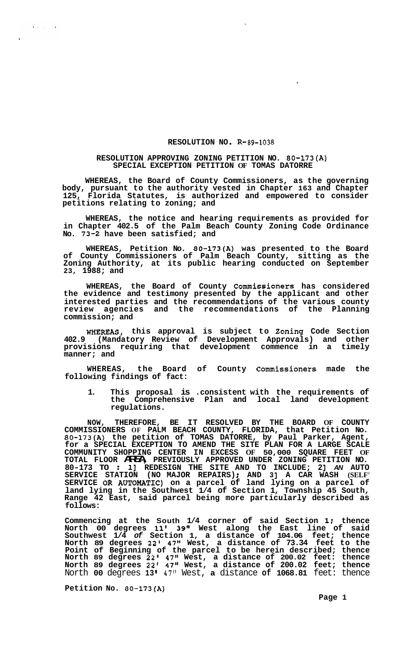## RESOLUTION NO. R-89-1038

## **RESOLUTION APPROVING ZONING PETITION NO. 80-173(A) SPECIAL EXCEPTION PETITION OF TOMAS DATORRE**

**WHEREAS, the Board of County Commissioners, as the governing body, pursuant to the authority vested in Chapter 163 and Chapter 125, Florida Statutes, is authorized and empowered to consider petitions relating to zoning; and** 

**WHEREAS, the notice and hearing requirements as provided for in Chapter 402.5 of the Palm Beach County Zoning Code Ordinance No. 73-2 have been satisfied; and** 

**WHEREAS, Petition No. 80-173(A) was presented to the Board of County Commissioners of Palm Beach County, sitting as the Zoning Authority, at its public hearing conducted on September 23, 1988; and** 

**WHEREAS, the Board of County Commissioners has considered the evidence and testimony presented by the applicant and other interested parties and the recommendations of the various county review agencies and the recommendations of the Planning commission; and** 

**WHEREAS, this approval is subject to Zoning Code Section 402.9 (Mandatory Review of Development Approvals) and other provisions requiring that development commence in a timely manner; and** 

**WHEREAS, the Board of County Commissioners made the following findings of fact:** 

**1. This proposal is .consistent with the requirements of the Comprehensive Plan and local land development regulations.** 

**NOW, THEREFORE, BE IT RESOLVED BY THE BOARD OF COUNTY COMMISSIONERS OF PALM BEACH COUNTY, FLORIDA, that Petition No. 80-173(A) the petition of TOMAS DATORRE, by Paul Parker, Agent, for a SPECIAL EXCEPTION TO AMEND THE SITE PLAN FOR A LARGE SCALE**  COMMUNITY SHOPPING CENTER IN EXCESS OF 50,000 SQUARE FEET OF<br>TOTAL FLOOR **ATA** PREVIOUSLY APPROVED UNDER ZONING PETITION NO.<br>80-173 TO : 1] REDESIGN THE SITE AND TO INCLUDE; 2] AV AUTO **SERVICE STATION (NO MAJOR REPAIRS)** ; **AND 3 J A CAR WASH (SELF' SERVICE OR AUTOMATIC) on a parcel of land lying on a parcel of land lying in the Southwest 1/4 of Section 1, Township 45 South, Range 42 East, said parcel being more particularly described as follows:** 

**Commencing at the South 1/4 corner of said Section 1; thence North 00 degrees 11' 39'' West along the East line of said Southwest 1/4** *of* **Section 1, a distance of 104.06 feet; thence North 89 degrees 22' 47" West, a distance of 73.34 feet to the Point of Beginning of the parcel to be herein described; thence North 89 degrees 22' 47" West, a distance of 200.02 feet: thence North 89 degrees 22' 47" West, a distance of 200.02 feet; thence**  North **00** degrees **13 I 47"** West, **a** distance **of 1068.81** feet: thence

**Petition No. 80-173(A)** 

 $\mathcal{A}^{\pm}$  and  $\mathcal{A}^{\pm}$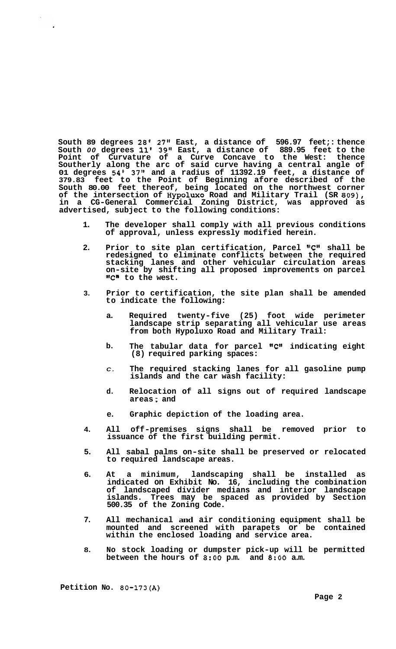**South 89 degrees 28' 27" East, a distance of 596.97 feet;: thence South** *00* **degrees 11' 39" East, a distance of 889.95 feet to the Point of Curvature of a Curve Concave to the West: thence Southerly along the arc of said curve having a central angle of 01 degrees 54' 37'' and a radius of 11392.19 feet, a distance of 379.83 feet to the Point of Beginning afore described of the South 80.00 feet thereof, being located on the northwest corner of the intersection of Hypolwo Road and Military Trail (SR 809), in a CG-General Commercial Zoning District, was approved as advertised, subject to the following conditions:** 

- **1. The developer shall comply with all previous conditions of approval, unless expressly modified herein.**
- 2. Prior to site plan certification, Parcel "C" shall be **redesigned to eliminate conflicts between the required stacking lanes and other vehicular circulation areas on-site by shifting all proposed improvements on parcel lrC1l to the west.**
- **3. Prior to certification, the site plan shall be amended to indicate the following:** 
	- **a. Required twenty-five (25) foot wide perimeter landscape strip separating all vehicular use areas from both Hypoluxo Road and Military Trail:**
	- **b. The tabular data for parcel** *llC1l* **indicating eight (8) required parking spaces:**
	- *C.*  **The required stacking lanes for all gasoline pump islands and the car wash facility:**
	- **d. Relocation of all signs out of required landscape areas** ; **and**
	- **e. Graphic depiction of the loading area.**
- **4. All off-premises signs shall be removed prior to issuance of the first building permit.**
- **5. All sabal palms on-site shall be preserved or relocated to required landscape areas.**
- **6. At a minimum, landscaping shall be installed as indicated on Exhibit No. 16, including the combination of landscaped divider medians and interior landscape islands. Trees may be spaced as provided by Section 500.35 of the Zoning Code.**
- **7. All mechanical and air conditioning equipment shall be mounted and screened with parapets or be contained within the enclosed loading and service area.**
- **8. No stock loading or dumpster pick-up will be permitted between the hours of 8:OO p.m. and 8:OO a.m.**

**Petition No. 80-173(A)**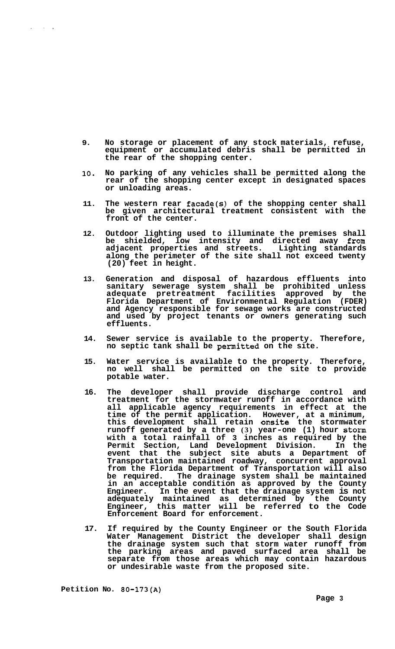- **9. No storage or placement of any stock materials, refuse, equipment or accumulated debris shall be permitted in the rear of the shopping center.**
- **lo. No parking of any vehicles shall be permitted along the rear of the shopping center except in designated spaces or unloading areas.**
- **11. The western rear facade(s) of the shopping center shall be given architectural treatment consistent with the front of the center.**
- **12. Outdoor lighting used to illuminate the premises shall be shielded, low intensity and directed away 'from adjacent properties and streets. Lighting standards along the perimeter of the site shall not exceed twenty (20) feet in height.**
- **13. Generation and disposal of hazardous effluents into sanitary sewerage system shall be prohibited unless adequate pretreatment facilities approved by the Florida Department of Environmental Regulation (FDER) and Agency responsible for sewage works are constructed and used by project tenants or owners generating such effluents.**
- **14. Sewer service is available to the property. Therefore, no septic tank shall be permitted on the site.**
- **15. Water service is available to the property. Therefore, no well shall be permitted on the site to provide potable water.**
- **16. The developer shall provide discharge control and treatment for the stormwater runoff in accordance with all applicable agency requirements in effect at the time of the permit application. However, at a minimum, this development shall retain onsite the stormwater runoff generated by a three (3) year-one (1) hour storm with a total rainfall of 3 inches as required by the Permit Section, Land Development Division. In the event that the subject site abuts a Department of Transportation maintained roadway, concurrent approval from the Florida Department of Transportation will also be required. The drainage system shall be maintained in an acceptable condition as approved by the County Engineer. In the event that the drainage system is not adequately maintained as determined by the County Engineer, this matter will be referred to the Code Enforcement Board for enforcement.**
- **17. If required by the County Engineer or the South Florida Water Management District the developer shall design the drainage system such that storm water runoff from the parking areas and paved surfaced area shall be separate from those areas which may contain hazardous or undesirable waste from the proposed site.**

**Petition No. 80-173(A)** 

 $\mathcal{L}^{\text{max}}(\mathcal{L}^{\text{max}})$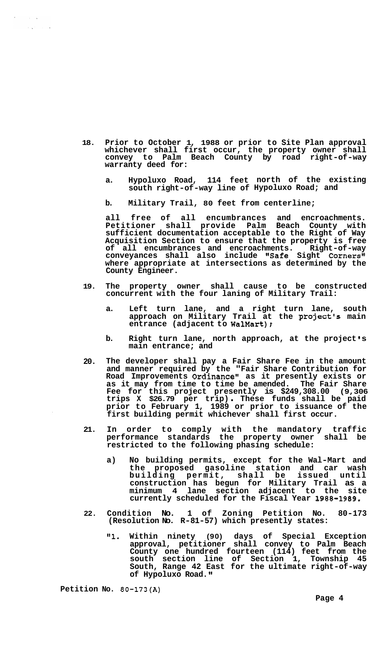- **18. Prior to October 1, 1988 or prior to Site Plan approval whichever shall first occur, the property owner shall convey to Palm Beach County by road right-of-way warranty deed for:** 
	- **a. Hypoluxo Road, 114 feet north of the existing south right-of-way line of Hypoluxo Road; and**
	- **b. Military Trail, 80 feet from centerline;**

**all free of all encumbrances and encroachments. Petitioner shall provide Palm Beach County with sufficient documentation acceptable to the Right of Way Acquisition Section to ensure that the property is free of all encumbrances and encroachments. Right-of-way conveyances shall also include "Safe Sight Corners" where appropriate at intersections as determined by the County Engineer.** 

- **19. The property owner shall cause to be constructed concurrent with the four laning of Military Trail:** 
	- **a. Left turn lane, and a right turn lane, south**  approach on Military Trail at the project's main **entrance (adjacent to WalMart);**
	- **b.** Right turn lane, north approach, at the project's **main entrance; and**
- **20. The developer shall pay a Fair Share Fee in the amount and manner required by the "Fair Share Contribution for Road Improvements Ordinance" as it presently exists or as it may from time to time be amended. The Fair Share Fee for this project presently is \$249,308.00 (9,306 trips X \$26.79 per trip)** . **These funds shall be paid prior to February 1, 1989 or prior to issuance of the first building permit whichever shall first occur.**
- **21. In order to comply with the mandatory traffic performance standards the property owner shall be restricted to the following phasing schedule:** 
	- **a) No building permits, except for the Wal-Mart and the proposed gasoline station and car wash**  building permit, shall be **construction has begun for Military Trail as a minimum 4 lane section adjacent to the site currently scheduled for the Fiscal Year 1988-1989.**
- **22. Condition No. 1 of Zoning Petition No. 80-173 (Resolution No. R-81-57) which presently states:** 
	- **"1. Within ninety (90) days of Special Exception approval, petitioner shall convey to Palm Beach County one hundred fourteen (114) feet from the south section line of Section 1, Township 45 South, Range 42 East for the ultimate right-of-way of Hypoluxo Road. It**

**Petition No. 80-173(A)** 

 $\sim 10^{-10}$  km  $\mathcal{A}(\mathbf{x}^{(i)})$  and  $\mathbf{x}^{(i)}$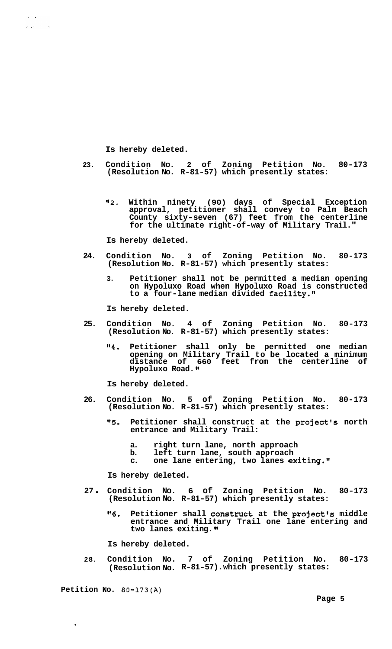**Is hereby deleted.** 

 $\mathcal{L}^{\mathcal{L}}$  , where  $\mathcal{L}^{\mathcal{L}}$  and  $\mathcal{L}^{\mathcal{L}}$ 

- **23. Condition No. 2 of Zoning Petition No. 80-173 (Resolution No. R-81-57) which presently states:** 
	- **"2. Within ninety (90) days of Special Exception approval, petitioner shall convey to Palm Beach County sixty-seven (67) feet from the centerline for the ultimate right-of-way of Military Trail."**

**Is hereby deleted.** 

- **24. Condition No. 3 of Zoning Petition No. 80-173 (Resolution No. R-81-57) which presently states:** 
	- **3. Petitioner shall not be permitted a median opening on Hypoluxo Road when Hypoluxo Road is constructed**  to a four-lane median divided facility."

**Is hereby deleted.** 

- **25. Condition No. 4 of Zoning Petition No. 80-173 (Resolution No. R-81-57) which presently states:** 
	- **"4. Petitioner shall only be permitted one median opening on Military Trail to be located a minimum distance of 660 feet from the centerline of Hypoluxo Road.**

**Is hereby deleted.** 

- **26. Condition No. 5 of Zoning Petition No. 80-173 (Resolution No. R-81-57) which presently states:** 
	- "5. Petitioner shall construct at the project's north **entrance and Military Trail:** 
		- **a. right turn lane, north approach**
		- **b. left turn lane, south approach**
		- **c. one lane entering, two lanes exiting."**

**Is hereby deleted.** 

- **<sup>27</sup>**. **Condition No. 6 of Zoning Petition No. 80-173 (Resolution No. R-81-57) which presently states:** 
	- **"6. Petitioner shall constmct at the project's middle entrance and Military Trail one lane entering and two lanes exiting.**

**Is hereby deleted.** 

**28. Condition No. 7 of Zoning Petition No. 80-173 (Resolution No. R-81-57). which presently states:** 

**Petition No. 80-173(A)** 

 $\ddot{\phantom{1}}$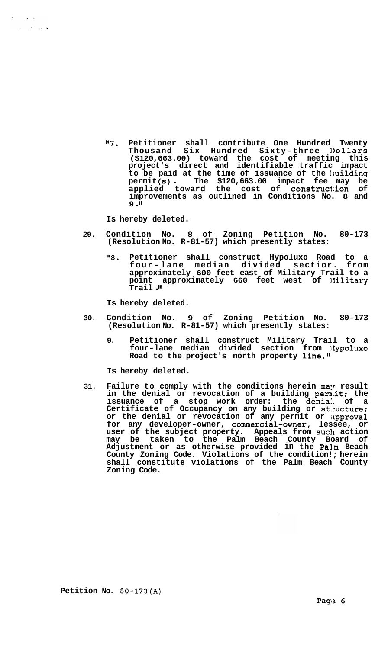**"7. Petitioner shall contribute One Hundred Twenty Thousand Six Hundred Sixty-three Ilollars (\$120,663.00) toward the cost of meeting this project's direct and identifiable traffic impact**  to be paid at the time of issuance of the building<br>
permit (s) The \$120,663.00 impact fee may be **applied toward the cost of construction of improvements as outlined in Conditions No. 8 and 9."** 

**Is hereby deleted.** 

 $\sim 10^{-1}$  km  $^{-1}$  $\mathcal{L}_{\mathcal{A}}$  , where  $\mathcal{L}_{\mathcal{A}}$ 

- **29. Condition No. 8 of Zoning Petition No. 80-173 (Resolution No. R-81-57) which presently states:** 
	- *"8.* **Petitioner shall construct Hypoluxo Road to a four - lane median divided sectior. from approximately 600 feet east of Military Trail to a point approximately 660 feet west of Military Trail** .

**Is hereby deleted.** 

- **30. Condition No. 9 of Zoning Petition No. 80-173 (Resolution No. R-81-57) which presently states:** 
	- **9. Petitioner shall construct Military Trail to a four-lane median divided section from liypoluxo Road to the project's north property line."**

**Is hereby deleted.** 

**31. Failure to comply with the conditions herein may result in the denial or revocation of a building permit: the issuance of a stop work order: the denia:. of a Certificate of Occupancy on any building or st:mcture:**  or the denial or revocation of any permit or approval **for any developer-owner, commercial-owner, lessee, or user of the subject property. Appeals from such action may be taken to the Palm Beach County Board of Adjustment or as otherwise provided in the Pa3.m Beach County Zoning Code. Violations of the condition!; herein shall constitute violations of the Palm Beach County Zoning Code.**